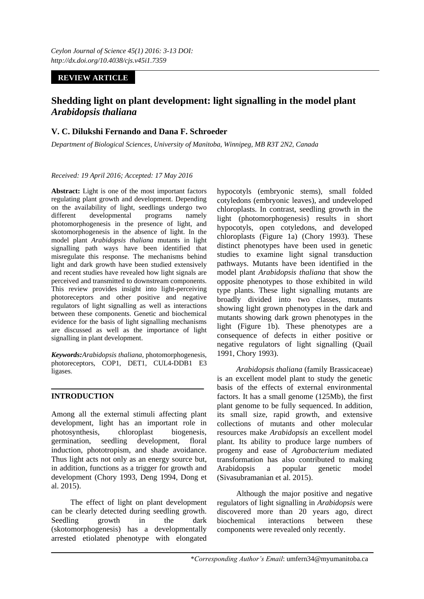# **REVIEW ARTICLE**

# **Shedding light on plant development: light signalling in the model plant**  *Arabidopsis thaliana*

# **V. C. Dilukshi Fernando and Dana F. Schroeder**

*Department of Biological Sciences, University of Manitoba, Winnipeg, MB R3T 2N2, Canada*

#### *Received: 19 April 2016; Accepted: 17 May 2016*

**Abstract:** Light is one of the most important factors regulating plant growth and development. Depending on the availability of light, seedlings undergo two different developmental programs namely photomorphogenesis in the presence of light, and skotomorphogenesis in the absence of light. In the model plant *Arabidopsis thaliana* mutants in light signalling path ways have been identified that misregulate this response. The mechanisms behind light and dark growth have been studied extensively and recent studies have revealed how light signals are perceived and transmitted to downstream components. This review provides insight into light-perceiving photoreceptors and other positive and negative regulators of light signalling as well as interactions between these components. Genetic and biochemical evidence for the basis of light signalling mechanisms are discussed as well as the importance of light signalling in plant development.

*Keywords:Arabidopsis thaliana*, photomorphogenesis, photoreceptors, COP1, DET1, CUL4-DDB1 E3 ligases.

## **INTRODUCTION**

Among all the external stimuli affecting plant development, light has an important role in photosynthesis, chloroplast biogenesis, germination, seedling development, floral induction, phototropism, and shade avoidance. Thus light acts not only as an energy source but, in addition, functions as a trigger for growth and development (Chory 1993, Deng 1994, Dong et al. 2015).

The effect of light on plant development can be clearly detected during seedling growth. Seedling growth in the dark (skotomorphogenesis) has a developmentally arrested etiolated phenotype with elongated

hypocotyls (embryonic stems), small folded cotyledons (embryonic leaves), and undeveloped chloroplasts. In contrast, seedling growth in the light (photomorphogenesis) results in short hypocotyls, open cotyledons, and developed chloroplasts (Figure 1a) (Chory 1993). These distinct phenotypes have been used in genetic studies to examine light signal transduction pathways. Mutants have been identified in the model plant *Arabidopsis thaliana* that show the opposite phenotypes to those exhibited in wild type plants. These light signalling mutants are broadly divided into two classes, mutants showing light grown phenotypes in the dark and mutants showing dark grown phenotypes in the light (Figure 1b). These phenotypes are a consequence of defects in either positive or negative regulators of light signalling (Quail 1991, Chory 1993).

*Arabidopsis thaliana* (family Brassicaceae) is an excellent model plant to study the genetic basis of the effects of external environmental factors. It has a small genome (125Mb), the first plant genome to be fully sequenced. In addition, its small size, rapid growth, and extensive collections of mutants and other molecular resources make *Arabidopsis* an excellent model plant. Its ability to produce large numbers of progeny and ease of *Agrobacterium* mediated transformation has also contributed to making Arabidopsis a popular genetic model (Sivasubramanian et al. 2015).

Although the major positive and negative regulators of light signalling in *Arabidopsis* were discovered more than 20 years ago, direct biochemical interactions between these components were revealed only recently.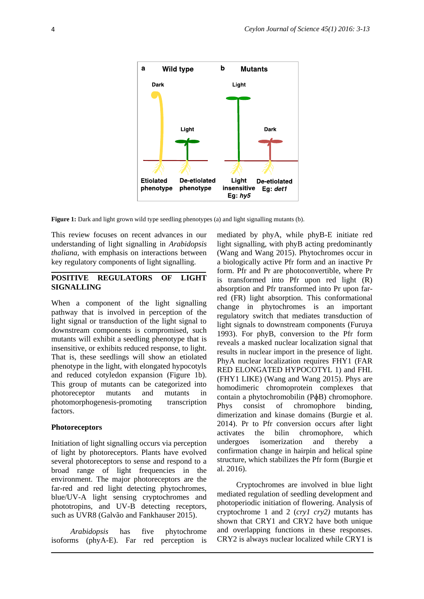

**Figure 1:** Dark and light grown wild type seedling phenotypes (a) and light signalling mutants (b).

This review focuses on recent advances in our understanding of light signalling in *Arabidopsis thaliana,* with emphasis on interactions between key regulatory components of light signalling.

## **POSITIVE REGULATORS OF LIGHT SIGNALLING**

When a component of the light signalling pathway that is involved in perception of the light signal or transduction of the light signal to downstream components is compromised, such mutants will exhibit a seedling phenotype that is insensitive, or exhibits reduced response, to light. That is, these seedlings will show an etiolated phenotype in the light, with elongated hypocotyls and reduced cotyledon expansion (Figure 1b). This group of mutants can be categorized into photoreceptor mutants and mutants in photomorphogenesis-promoting transcription factors.

#### **Photoreceptors**

Initiation of light signalling occurs via perception of light by photoreceptors. Plants have evolved several photoreceptors to sense and respond to a broad range of light frequencies in the environment. The major photoreceptors are the far-red and red light detecting phytochromes, blue/UV-A light sensing cryptochromes and phototropins, and UV-B detecting receptors, such as UVR8 (Galvão and Fankhauser 2015).

*Arabidopsis* has five phytochrome isoforms (phyA-E). Far red perception is

mediated by phyA, while phyB-E initiate red light signalling, with phyB acting predominantly (Wang and Wang 2015). Phytochromes occur in a biologically active Pfr form and an inactive Pr form. Pfr and Pr are photoconvertible, where Pr is transformed into Pfr upon red light (R) absorption and Pfr transformed into Pr upon farred (FR) light absorption. This conformational change in phytochromes is an important regulatory switch that mediates transduction of light signals to downstream components (Furuya 1993). For phyB, conversion to the Pfr form reveals a masked nuclear localization signal that results in nuclear import in the presence of light. PhyA nuclear localization requires FHY1 (FAR RED ELONGATED HYPOCOTYL 1) and FHL (FHY1 LIKE) (Wang and Wang 2015). Phys are homodimeric chromoprotein complexes that contain a phytochromobilin (PɸB) chromophore. Phys consist of chromophore binding, dimerization and kinase domains (Burgie et al. 2014). Pr to Pfr conversion occurs after light activates the bilin chromophore, which undergoes isomerization and thereby a confirmation change in hairpin and helical spine structure, which stabilizes the Pfr form (Burgie et al. 2016).

Cryptochromes are involved in blue light mediated regulation of seedling development and photoperiodic initiation of flowering. Analysis of cryptochrome 1 and 2 (*cry1 cry2)* mutants has shown that CRY1 and CRY2 have both unique and overlapping functions in these responses. CRY2 is always nuclear localized while CRY1 is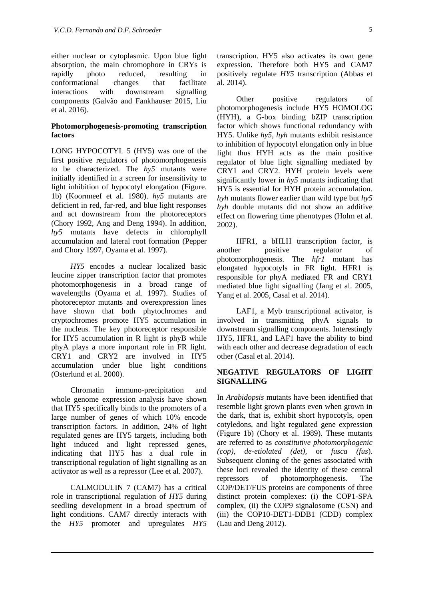either nuclear or cytoplasmic. Upon blue light absorption, the main chromophore in CRYs is rapidly photo reduced, resulting in conformational changes that facilitate interactions with downstream signalling components (Galvão and Fankhauser 2015, Liu et al. 2016).

## **Photomorphogenesis-promoting transcription factors**

LONG HYPOCOTYL 5 (HY5) was one of the first positive regulators of photomorphogenesis to be characterized. The *hy5* mutants were initially identified in a screen for insensitivity to light inhibition of hypocotyl elongation (Figure. 1b) (Koornneef et al. 1980). *hy5* mutants are deficient in red, far-red, and blue light responses and act downstream from the photoreceptors (Chory 1992, Ang and Deng 1994). In addition, *hy5* mutants have defects in chlorophyll accumulation and lateral root formation (Pepper and Chory 1997, Oyama et al. 1997).

*HY5* encodes a nuclear localized basic leucine zipper transcription factor that promotes photomorphogenesis in a broad range of wavelengths (Oyama et al. 1997). Studies of photoreceptor mutants and overexpression lines have shown that both phytochromes and cryptochromes promote HY5 accumulation in the nucleus. The key photoreceptor responsible for HY5 accumulation in R light is phyB while phyA plays a more important role in FR light. CRY1 and CRY2 are involved in HY5 accumulation under blue light conditions (Osterlund et al. 2000).

Chromatin immuno-precipitation and whole genome expression analysis have shown that HY5 specifically binds to the promoters of a large number of genes of which 10% encode transcription factors. In addition, 24% of light regulated genes are HY5 targets, including both light induced and light repressed genes, indicating that HY5 has a dual role in transcriptional regulation of light signalling as an activator as well as a repressor (Lee et al. 2007).

CALMODULIN 7 (CAM7) has a critical role in transcriptional regulation of *HY5* during seedling development in a broad spectrum of light conditions. CAM7 directly interacts with the *HY5* promoter and upregulates *HY5*

transcription. HY5 also activates its own gene expression. Therefore both HY5 and CAM7 positively regulate *HY5* transcription (Abbas et al. 2014).

Other positive regulators of photomorphogenesis include HY5 HOMOLOG (HYH), a G-box binding bZIP transcription factor which shows functional redundancy with HY5. Unlike *hy5*, *hyh* mutants exhibit resistance to inhibition of hypocotyl elongation only in blue light thus HYH acts as the main positive regulator of blue light signalling mediated by CRY1 and CRY2. HYH protein levels were significantly lower in *hy5* mutants indicating that HY5 is essential for HYH protein accumulation. *hyh* mutants flower earlier than wild type but *hy5 hyh* double mutants did not show an additive effect on flowering time phenotypes (Holm et al. 2002).

HFR1, a bHLH transcription factor, is another positive regulator of photomorphogenesis. The *hfr1* mutant has elongated hypocotyls in FR light. HFR1 is responsible for phyA mediated FR and CRY1 mediated blue light signalling (Jang et al. 2005, Yang et al. 2005, Casal et al. 2014).

LAF1, a Myb transcriptional activator, is involved in transmitting phyA signals to downstream signalling components. Interestingly HY5, HFR1, and LAF1 have the ability to bind with each other and decrease degradation of each other (Casal et al. 2014).

## **NEGATIVE REGULATORS OF LIGHT SIGNALLING**

In *Arabidopsis* mutants have been identified that resemble light grown plants even when grown in the dark, that is, exhibit short hypocotyls, open cotyledons, and light regulated gene expression (Figure 1b) (Chory et al. 1989). These mutants are referred to as *constitutive photomorphogenic (cop), de-etiolated (det),* or *fusca (fus*). Subsequent cloning of the genes associated with these loci revealed the identity of these central repressors of photomorphogenesis. The COP/DET/FUS proteins are components of three distinct protein complexes: (i) the COP1-SPA complex, (ii) the COP9 signalosome (CSN) and (iii) the COP10-DET1-DDB1 (CDD) complex (Lau and Deng 2012).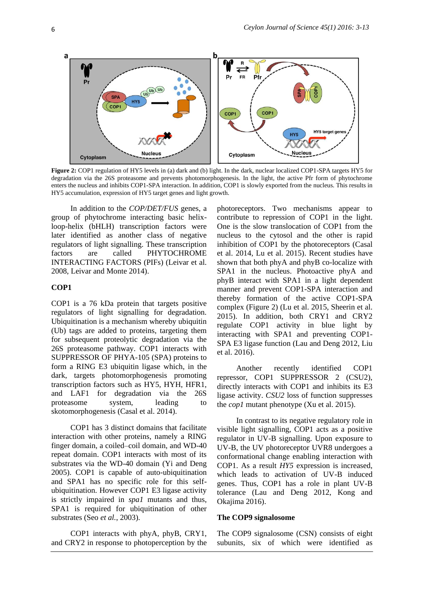

**Figure 2:** COP1 regulation of HY5 levels in (a) dark and (b) light. In the dark, nuclear localized COP1-SPA targets HY5 for degradation via the 26S proteasome and prevents photomorphogenesis. In the light, the active Pfr form of phytochrome enters the nucleus and inhibits COP1-SPA interaction. In addition, COP1 is slowly exported from the nucleus. This results in HY5 accumulation, expression of HY5 target genes and light growth.

In addition to the *COP/DET/FUS* genes, a group of phytochrome interacting basic helixloop-helix (bHLH) transcription factors were later identified as another class of negative regulators of light signalling. These transcription factors are called PHYTOCHROME INTERACTING FACTORS (PIFs) (Leivar et al. 2008, Leivar and Monte 2014).

#### **COP1**

COP1 is a 76 kDa protein that targets positive regulators of light signalling for degradation. Ubiquitination is a mechanism whereby ubiquitin (Ub) tags are added to proteins, targeting them for subsequent proteolytic degradation via the 26S proteasome pathway. COP1 interacts with SUPPRESSOR OF PHYA-105 (SPA) proteins to form a RING E3 ubiquitin ligase which, in the dark, targets photomorphogenesis promoting transcription factors such as HY5, HYH, HFR1, and LAF1 for degradation via the 26S proteasome system, leading to skotomorphogenesis (Casal et al. 2014).

COP1 has 3 distinct domains that facilitate interaction with other proteins, namely a RING finger domain, a coiled–coil domain, and WD-40 repeat domain. COP1 interacts with most of its substrates via the WD-40 domain (Yi and Deng 2005). COP1 is capable of auto-ubiquitination and SPA1 has no specific role for this selfubiquitination. However COP1 E3 ligase activity is strictly impaired in *spa1* mutants and thus, SPA1 is required for ubiquitination of other substrates (Seo *et al.*, 2003).

COP1 interacts with phyA, phyB, CRY1, and CRY2 in response to photoperception by the

photoreceptors. Two mechanisms appear to contribute to repression of COP1 in the light. One is the slow translocation of COP1 from the nucleus to the cytosol and the other is rapid inhibition of COP1 by the photoreceptors (Casal et al. 2014, Lu et al. 2015). Recent studies have shown that both phyA and phyB co-localize with SPA1 in the nucleus. Photoactive phyA and phyB interact with SPA1 in a light dependent manner and prevent COP1-SPA interaction and thereby formation of the active COP1-SPA complex (Figure 2) (Lu et al. 2015, Sheerin et al. 2015). In addition, both CRY1 and CRY2 regulate COP1 activity in blue light by interacting with SPA1 and preventing COP1- SPA E3 ligase function (Lau and Deng 2012, Liu et al. 2016).

Another recently identified COP1 repressor, COP1 SUPPRESSOR 2 (CSU2), directly interacts with COP1 and inhibits its E3 ligase activity. *CSU2* loss of function suppresses the *cop1* mutant phenotype (Xu et al. 2015).

In contrast to its negative regulatory role in visible light signalling, COP1 acts as a positive regulator in UV-B signalling. Upon exposure to UV-B, the UV photoreceptor UVR8 undergoes a conformational change enabling interaction with COP1. As a result *HY5* expression is increased, which leads to activation of UV-B induced genes. Thus, COP1 has a role in plant UV-B tolerance (Lau and Deng 2012, Kong and Okajima 2016).

## **The COP9 signalosome**

The COP9 signalosome (CSN) consists of eight subunits, six of which were identified as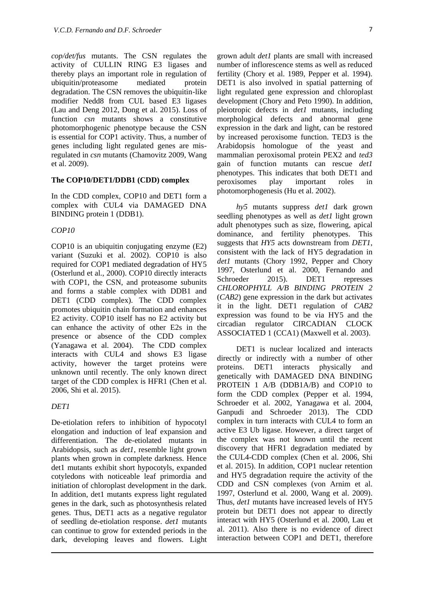*cop/det/fus* mutants. The CSN regulates the activity of CULLIN RING E3 ligases and thereby plays an important role in regulation of ubiquitin/proteasome mediated protein degradation. The CSN removes the ubiquitin-like modifier Nedd8 from CUL based E3 ligases (Lau and Deng 2012, Dong et al. 2015). Loss of function *csn* mutants shows a constitutive photomorphogenic phenotype because the CSN is essential for COP1 activity. Thus, a number of genes including light regulated genes are misregulated in *csn* mutants (Chamovitz 2009, Wang et al. 2009).

#### **The COP10/DET1/DDB1 (CDD) complex**

In the CDD complex, COP10 and DET1 form a complex with CUL4 via DAMAGED DNA BINDING protein 1 (DDB1).

## *COP10*

COP10 is an ubiquitin conjugating enzyme (E2) variant (Suzuki et al. 2002). COP10 is also required for COP1 mediated degradation of HY5 [\(Osterlund et al.,](http://genesdev.cshlp.org.uml.idm.oclc.org/content/18/17/2172.long#ref-20) 2000). COP10 directly interacts with COP1, the CSN, and proteasome subunits and forms a stable complex with DDB1 and DET1 (CDD complex). The CDD complex promotes ubiquitin chain formation and enhances E2 activity. COP10 itself has no E2 activity but can enhance the activity of other E2s in the presence or absence of the CDD complex (Yanagawa et al. 2004). The CDD complex interacts with CUL4 and shows E3 ligase activity, however the target proteins were unknown until recently. The only known direct target of the CDD complex is HFR1 (Chen et al. 2006, Shi et al. 2015).

#### *DET1*

De-etiolation refers to inhibition of hypocotyl elongation and induction of leaf expansion and differentiation. The de-etiolated mutants in Arabidopsis, such as *det1*, resemble light grown plants when grown in complete darkness. Hence det1 mutants exhibit short hypocotyls, expanded cotyledons with noticeable leaf primordia and initiation of chloroplast development in the dark. In addition, det1 mutants express light regulated genes in the dark, such as photosynthesis related genes. Thus, DET1 acts as a negative regulator of seedling de-etiolation response. *det1* mutants can continue to grow for extended periods in the dark, developing leaves and flowers. Light

grown adult *det1* plants are small with increased number of inflorescence stems as well as reduced fertility (Chory et al. 1989, Pepper et al. 1994). DET1 is also involved in spatial patterning of light regulated gene expression and chloroplast development (Chory and Peto 1990). In addition, pleiotropic defects in *det1* mutants, including morphological defects and abnormal gene expression in the dark and light, can be restored by increased peroxisome function. TED3 is the Arabidopsis homologue of the yeast and mammalian peroxisomal protein PEX2 and *ted3* gain of function mutants can rescue *det1* phenotypes. This indicates that both DET1 and peroxisomes play important roles in photomorphogenesis (Hu et al. 2002).

*hy5* mutants suppress *det1* dark grown seedling phenotypes as well as *det1* light grown adult phenotypes such as size, flowering, apical dominance, and fertility phenotypes. This suggests that *HY5* acts downstream from *DET1*, consistent with the lack of HY5 degradation in *det1* mutants (Chory 1992, Pepper and Chory 1997, Osterlund et al. 2000, Fernando and Schroeder 2015). DET1 represses *CHLOROPHYLL A/B BINDING PROTEIN 2*  (*CAB2*) gene expression in the dark but activates it in the light. DET1 regulation of *CAB2* expression was found to be via HY5 and the circadian regulator CIRCADIAN CLOCK ASSOCIATED 1 (CCA1) (Maxwell et al. 2003).

DET1 is nuclear localized and interacts directly or indirectly with a number of other proteins. DET1 interacts physically and genetically with DAMAGED DNA BINDING PROTEIN 1 A/B (DDB1A/B) and COP10 to form the CDD complex (Pepper et al. 1994, Schroeder et al. 2002, Yanagawa et al. 2004, Ganpudi and Schroeder 2013). The CDD complex in turn interacts with CUL4 to form an active E3 Ub ligase. However, a direct target of the complex was not known until the recent discovery that HFR1 degradation mediated by the CUL4-CDD complex (Chen et al. 2006, Shi et al. 2015). In addition, COP1 nuclear retention and HY5 degradation require the activity of the CDD and CSN complexes (von Arnim et al. 1997, Osterlund et al. 2000, Wang et al. 2009). Thus, *det1* mutants have increased levels of HY5 protein but DET1 does not appear to directly interact with HY5 (Osterlund et al. 2000, Lau et al. 2011). Also there is no evidence of direct interaction between COP1 and DET1, therefore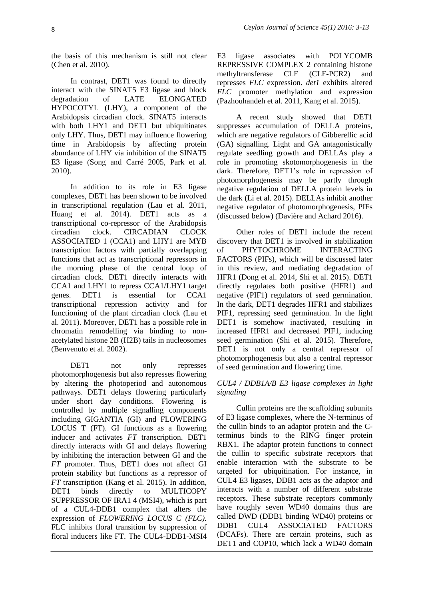the basis of this mechanism is still not clear (Chen et al. 2010).

In contrast, DET1 was found to directly interact with the SINAT5 E3 ligase and block degradation of LATE ELONGATED HYPOCOTYL (LHY), a component of the Arabidopsis circadian clock. SINAT5 interacts with both LHY1 and DET1 but ubiquitinates only LHY. Thus, DET1 may influence flowering time in Arabidopsis by affecting protein abundance of LHY via inhibition of the SINAT5 E3 ligase (Song and Carré 2005, Park et al. 2010).

In addition to its role in E3 ligase complexes, DET1 has been shown to be involved in transcriptional regulation (Lau et al. 2011, Huang et al. 2014). DET1 acts as a transcriptional co-repressor of the Arabidopsis circadian clock. CIRCADIAN CLOCK ASSOCIATED 1 (CCA1) and LHY1 are MYB transcription factors with partially overlapping functions that act as transcriptional repressors in the morning phase of the central loop of circadian clock. DET1 directly interacts with CCA1 and LHY1 to repress CCA1/LHY1 target genes. DET1 is essential for CCA1 transcriptional repression activity and for functioning of the plant circadian clock (Lau et al. 2011). Moreover, DET1 has a possible role in chromatin remodelling via binding to nonacetylated histone 2B (H2B) tails in nucleosomes (Benvenuto et al. 2002).

DET1 not only represses photomorphogenesis but also represses flowering by altering the photoperiod and autonomous pathways. DET1 delays flowering particularly under short day conditions. Flowering is controlled by multiple signalling components including GIGANTIA (GI) and FLOWERING LOCUS T (FT). GI functions as a flowering inducer and activates *FT* transcription. DET1 directly interacts with GI and delays flowering by inhibiting the interaction between GI and the *FT* promoter. Thus, DET1 does not affect GI protein stability but functions as a repressor of *FT* transcription (Kang et al. 2015). In addition, DET1 binds directly to MULTICOPY SUPPRESSOR OF IRA1 4 (MSI4), which is part of a CUL4-DDB1 complex that alters the expression of *FLOWERING LOCUS C (FLC).* FLC inhibits floral transition by suppression of floral inducers like FT. The CUL4-DDB1-MSI4 E3 ligase associates with POLYCOMB REPRESSIVE COMPLEX 2 containing histone methyltransferase CLF (CLF-PCR2) and represses *FLC* expression. *det1* exhibits altered *FLC* promoter methylation and expression (Pazhouhandeh et al. 2011, Kang et al. 2015).

A recent study showed that DET1 suppresses accumulation of DELLA proteins, which are negative regulators of Gibberellic acid (GA) signalling. Light and GA antagonistically regulate seedling growth and DELLAs play a role in promoting skotomorphogenesis in the dark. Therefore, DET1's role in repression of photomorphogenesis may be partly through negative regulation of DELLA protein levels in the dark (Li et al. 2015). DELLAs inhibit another negative regulator of photomorphogenesis, PIFs (discussed below) (Davière and Achard 2016).

Other roles of DET1 include the recent discovery that DET1 is involved in stabilization of PHYTOCHROME INTERACTING FACTORS (PIFs), which will be discussed later in this review, and mediating degradation of HFR1 (Dong et al. 2014, Shi et al. 2015). DET1 directly regulates both positive (HFR1) and negative (PIF1) regulators of seed germination. In the dark, DET1 degrades HFR1 and stabilizes PIF1, repressing seed germination. In the light DET1 is somehow inactivated, resulting in increased HFR1 and decreased PIF1, inducing seed germination (Shi et al. 2015). Therefore, DET1 is not only a central repressor of photomorphogenesis but also a central repressor of seed germination and flowering time.

#### *CUL4 / DDB1A/B E3 ligase complexes in light signaling*

Cullin proteins are the scaffolding subunits of E3 ligase complexes, where the N-terminus of the cullin binds to an adaptor protein and the Cterminus binds to the RING finger protein RBX1. The adaptor protein functions to connect the cullin to specific substrate receptors that enable interaction with the substrate to be targeted for ubiquitination. For instance, in CUL4 E3 ligases, DDB1 acts as the adaptor and interacts with a number of different substrate receptors. These substrate receptors commonly have roughly seven WD40 domains thus are called DWD (DDB1 binding WD40) proteins or DDB1 CUL4 ASSOCIATED FACTORS (DCAFs). There are certain proteins, such as DET1 and COP10, which lack a WD40 domain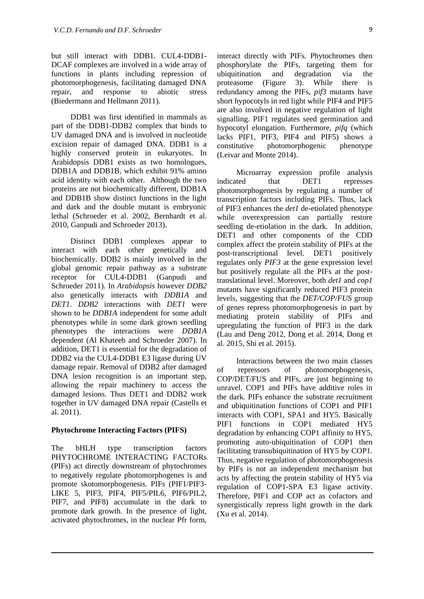but still interact with DDB1. CUL4-DDB1- DCAF complexes are involved in a wide array of functions in plants including repression of photomorphogenesis, facilitating damaged DNA repair, and response to abiotic stress (Biedermann and Hellmann 2011).

DDB1 was first identified in mammals as part of the DDB1-DDB2 complex that binds to UV damaged DNA and is involved in nucleotide excision repair of damaged DNA. DDB1 is a highly conserved protein in eukaryotes. In Arabidopsis DDB1 exists as two homologues, DDB1A and DDB1B, which exhibit 91% amino acid identity with each other. Although the two proteins are not biochemically different, DDB1A and DDB1B show distinct functions in the light and dark and the double mutant is embryonic lethal (Schroeder et al. 2002, Bernhardt et al. 2010, Ganpudi and Schroeder 2013).

Distinct DDB1 complexes appear to interact with each other genetically and biochemically. DDB2 is mainly involved in the global genomic repair pathway as a substrate receptor for CUL4-DDB1 (Ganpudi and Schroeder 2011). In *Arabidopsis* however *DDB2* also genetically interacts with *DDB1A* and *DET1*. *DDB2* interactions with *DET1* were shown to be *DDB1A* independent for some adult phenotypes while in some dark grown seedling phenotypes the interactions were *DDB1A* dependent (Al Khateeb and Schroeder 2007). In addition, DET1 is essential for the degradation of DDB2 via the CUL4-DDB1 E3 ligase during UV damage repair. Removal of DDB2 after damaged DNA lesion recognition is an important step, allowing the repair machinery to access the damaged lesions. Thus DET1 and DDB2 work together in UV damaged DNA repair (Castells et al. 2011).

#### **Phytochrome Interacting Factors (PIFS)**

The bHLH type transcription factors PHYTOCHROME INTERACTING FACTORs (PIFs) act directly downstream of phytochromes to negatively regulate photomorphogenes is and promote skotomorphogenesis. PIFs (PIF1/PIF3- LIKE 5, PIF3, PIF4, PIF5/PIL6, PIF6/PIL2, PIF7, and PIF8) accumulate in the dark to promote dark growth. In the presence of light, activated phytochromes, in the nuclear Pfr form, interact directly with PIFs. Phytochromes then phosphorylate the PIFs, targeting them for ubiquitination and degradation via the proteasome (Figure 3). While there is redundancy among the PIFs, *pif3* mutants have short hypocotyls in red light while PIF4 and PIF5 are also involved in negative regulation of light signalling. PIF1 regulates seed germination and hypocotyl elongation. Furthermore, *pifq* (which lacks PIF1, PIF3, PIF4 and PIF5) shows a constitutive photomorphogenic phenotype (Leivar and Monte 2014).

Microarray expression profile analysis indicated that DET1 represses photomorphogenesis by regulating a number of transcription factors including PIFs. Thus, lack of PIF3 enhances the *det1* de-etiolated phenotype while overexpression can partially restore seedling de-etiolation in the dark. In addition, DET1 and other components of the CDD complex affect the protein stability of PIFs at the post-transcriptional level. DET1 positively regulates only *PIF3* at the gene expression level but positively regulate all the PIFs at the posttranslational level. Moreover, both *det1* and *cop1*  mutants have significantly reduced PIF3 protein levels, suggesting that the *DET/COP/FUS* group of genes repress photomorphogenesis in part by mediating protein stability of PIFs and upregulating the function of PIF3 in the dark (Lau and Deng 2012, Dong et al. 2014, Dong et al. 2015, Shi et al. 2015).

Interactions between the two main classes of repressors of photomorphogenesis, COP/DET/FUS and PIFs, are just beginning to unravel. COP1 and PIFs have additive roles in the dark. PIFs enhance the substrate recruitment and ubiquitination functions of COP1 and PIF1 interacts with COP1, SPA1 and HY5. Basically PIF1 functions in COP1 mediated HY5 degradation by enhancing COP1 affinity to HY5, promoting auto-ubiquitination of COP1 then facilitating transubiquitination of HY5 by COP1. Thus, negative regulation of photomorphogenesis by PIFs is not an independent mechanism but acts by affecting the protein stability of HY5 via regulation of COP1-SPA E3 ligase activity. Therefore, PIF1 and COP act as cofactors and synergistically repress light growth in the dark (Xu et al. 2014).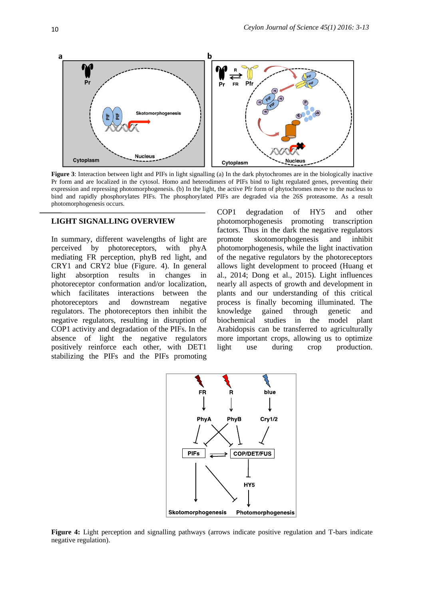

**Figure 3**: Interaction between light and PIFs in light signalling (a) In the dark phytochromes are in the biologically inactive Pr form and are localized in the cytosol. Homo and heterodimers of PIFs bind to light regulated genes, preventing their expression and repressing photomorphogenesis. (b) In the light, the active Pfr form of phytochromes move to the nucleus to bind and rapidly phosphorylates PIFs. The phosphorylated PIFs are degraded via the 26S proteasome. As a result photomorphogenesis occurs.

#### **LIGHT SIGNALLING OVERVIEW**

In summary, different wavelengths of light are perceived by photoreceptors, with phyA mediating FR perception, phyB red light, and CRY1 and CRY2 blue (Figure. 4). In general light absorption results in changes in photoreceptor conformation and/or localization, which facilitates interactions between the photoreceptors and downstream negative regulators. The photoreceptors then inhibit the negative regulators, resulting in disruption of COP1 activity and degradation of the PIFs. In the absence of light the negative regulators positively reinforce each other, with DET1 stabilizing the PIFs and the PIFs promoting

COP1 degradation of HY5 and other photomorphogenesis promoting transcription factors. Thus in the dark the negative regulators promote skotomorphogenesis and inhibit photomorphogenesis, while the light inactivation of the negative regulators by the photoreceptors allows light development to proceed (Huang et al., 2014; Dong et al., 2015). Light influences nearly all aspects of growth and development in plants and our understanding of this critical process is finally becoming illuminated. The knowledge gained through genetic and biochemical studies in the model plant Arabidopsis can be transferred to agriculturally more important crops, allowing us to optimize light use during crop production.



**Figure 4:** Light perception and signalling pathways (arrows indicate positive regulation and T-bars indicate negative regulation).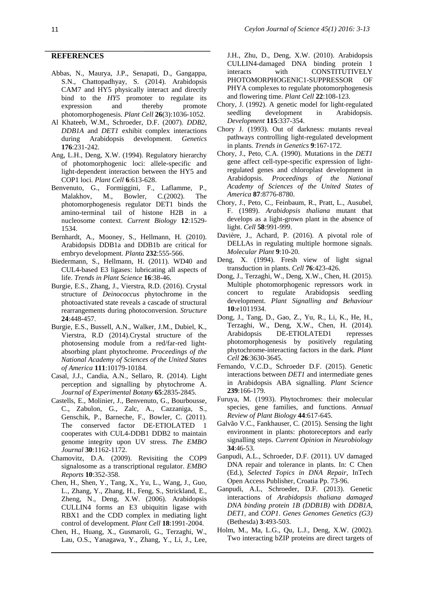#### **REFERENCES**

- Abbas, N., Maurya, J.P., Senapati, D., Gangappa, S.N., Chattopadhyay, S. (2014). Arabidopsis CAM7 and HY5 physically interact and directly bind to the *HY5* promoter to regulate its expression and thereby promote photomorphogenesis. *Plant Cell* **26**(3):1036-1052.
- Al Khateeb, W.M., Schroeder, D.F. (2007). *DDB2, DDB1A* and *DET1* exhibit complex interactions during Arabidopsis development. *Genetics*  **176**:231-242.
- Ang, L.H., Deng, X.W. (1994). Regulatory hierarchy of photomorphogenic loci: allele-specific and light-dependent interaction between the HY5 and COP1 loci. *Plant Cell* **6**:613-628.
- Benvenuto, G., Formiggini, F., Laflamme, P., Malakhov, M., Bowler, C.(2002). The photomorphogenesis regulator DET1 binds the amino-terminal tail of histone H2B in a nucleosome context. *Current Biology* **12**:1529- 1534.
- Bernhardt, A., Mooney, S., Hellmann, H. (2010). Arabidopsis DDB1a and DDB1b are critical for embryo development. *Planta* **232**:555-566.
- Biedermann, S., Hellmann, H. (2011). WD40 and CUL4-based E3 ligases: lubricating all aspects of life. *Trends in Plant Science* **16**:38-46.
- Burgie, E.S., Zhang, J., Vierstra, R.D. (2016). Crystal structure of *Deinococcus* phytochrome in the photoactivated state reveals a cascade of structural rearrangements during photoconversion. *Structure* **24**:448-457.
- Burgie, E.S., Bussell, A.N., Walker, J.M., Dubiel, K., Vierstra, R.D (2014).Crystal structure of the photosensing module from a red/far-red lightabsorbing plant phytochrome. *Proceedings of the National Academy of Sciences of the United States of America* **111**:10179-10184.
- Casal, J.J., Candia, A.N., Sellaro, R. (2014). Light perception and signalling by phytochrome A. *Journal of Experimental Botany* **65**:2835-2845.
- Castells, E., Molinier, J., Benvenuto, G., Bourbousse, C., Zabulon, G., Zalc, A., Cazzaniga, S., Genschik, P., Barneche, F., Bowler, C. (2011). The conserved factor DE-ETIOLATED 1 cooperates with CUL4-DDB1 DDB2 to maintain genome integrity upon UV stress. *The EMBO Journal* **30**:1162-1172.
- Chamovitz, D.A. (2009). Revisiting the COP9 signalosome as a transcriptional regulator. *EMBO Reports* **10**:352-358.
- Chen, H., Shen, Y., Tang, X., Yu, L., Wang, J., Guo, L., Zhang, Y., Zhang, H., Feng, S., Strickland, E., Zheng, N., Deng, X.W. (2006). Arabidopsis CULLIN4 forms an E3 ubiquitin ligase with RBX1 and the CDD complex in mediating light control of development. *Plant Cell* **18**:1991-2004.
- Chen, H., Huang, X., Gusmaroli, G., Terzaghi, W., Lau, O.S., Yanagawa, Y., Zhang, Y., Li, J., Lee,

J.H., Zhu, D., Deng, X.W. (2010). Arabidopsis CULLIN4-damaged DNA binding protein 1 interacts with CONSTITUTIVELY PHOTOMORPHOGENIC1-SUPPRESSOR OF PHYA complexes to regulate photomorphogenesis and flowering time. *Plant Cell* **22**:108-123.

- Chory, J. (1992). A genetic model for light-regulated seedling development in Arabidopsis. *Development* **115**:337-354.
- Chory J. (1993). Out of darkness: mutants reveal pathways controlling light-regulated development in plants. *Trends in Genetics* **9**:167-172.
- Chory, J., Peto, C.A. (1990). Mutations in the *DET1* gene affect cell-type-specific expression of lightregulated genes and chloroplast development in Arabidopsis. *Proceedings of the National Academy of Sciences of the United States of America* **87**:8776-8780.
- Chory, J., Peto, C., Feinbaum, R., Pratt, L., Ausubel, F. (1989). *Arabidopsis thaliana* mutant that develops as a light-grown plant in the absence of light. *Cell* **58**:991-999.
- Davière, J., Achard, P. (2016). A pivotal role of DELLAs in regulating multiple hormone signals. *Molecular Plant* **9**:10-20.
- Deng, X. (1994). Fresh view of light signal transduction in plants. *Cell* **76**:423-426.
- Dong, J., Terzaghi, W., Deng, X.W., Chen, H. (2015). Multiple photomorphogenic repressors work in concert to regulate Arabidopsis seedling development. *Plant Signalling and Behaviour*  **10**:e1011934.
- Dong, J., Tang, D., Gao, Z., Yu, R., Li, K., He, H., Terzaghi, W., Deng, X.W., Chen, H. (2014). Arabidopsis DE-ETIOLATED1 represses photomorphogenesis by positively regulating phytochrome-interacting factors in the dark. *Plant Cell* **26**:3630-3645.
- Fernando, V.C.D., Schroeder D.F. (2015). Genetic interactions between *DET1* and intermediate genes in Arabidopsis ABA signalling. *Plant Science*  **239**:166-179.
- Furuya, M. (1993). Phytochromes: their molecular species, gene families, and functions. *Annual Review of Plant Biology* **44**:617-645.
- Galvão V.C., Fankhauser, C. (2015). Sensing the light environment in plants: photoreceptors and early signalling steps. *Current Opinion in Neurobiology* **34**:46-53.
- Ganpudi, A.L., Schroeder, D.F. (2011). UV damaged DNA repair and tolerance in plants. In: C Chen (Ed.), *Selected Topics in DNA Repair*, InTech Open Access Publisher, Croatia Pp. 73-96.
- Ganpudi, A.L, Schroeder, D.F. (2013). Genetic interactions of *Arabidopsis thaliana damaged DNA binding protein 1B (DDB1B)* with *DDB1A, DET1,* and *COP1*. *Genes Genomes Genetics (G3)*  (Bethesda) **3**:493-503.
- Holm, M., Ma, L.G., Qu, L.J., Deng, X.W. (2002). Two interacting bZIP proteins are direct targets of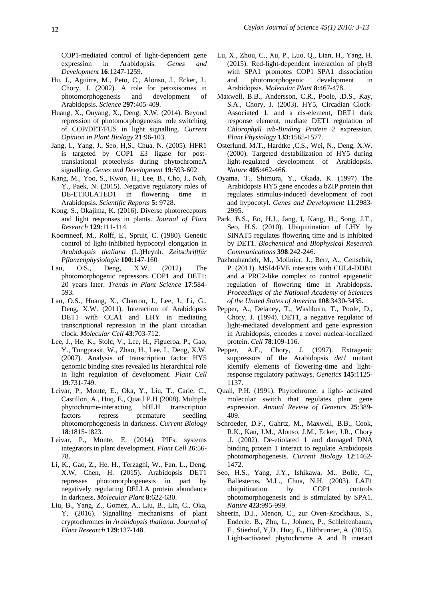COP1-mediated control of light-dependent gene expression in Arabidopsis. *Genes and Development* **16**:1247-1259.

- Hu, J., Aguirre, M., Peto, C., Alonso, J., Ecker, J., Chory, J. (2002). A role for peroxisomes in photomorphogenesis and development of Arabidopsis. *Science* **297**:405-409.
- Huang, X., Ouyang, X., Deng, X.W. (2014). Beyond repression of photomorphogenesis: role switching of COP/DET/FUS in light signalling. *Current Opinion in Plant Biology* **21**:96-103.
- Jang, I., Yang, J., Seo, H,S., Chua, N. (2005). HFR1 is targeted by COP1 E3 ligase for posttranslational proteolysis during phytochromeA signalling. *Genes and Development* **19**:593-602.
- Kang, M., Yoo, S., Kwon, H., Lee, B., Cho, J., Noh, Y., Paek, N. (2015). Negative regulatory roles of DE-ETIOLATED1 in flowering time in Arabidopsis. *Scientific Reports* **5:** 9728.
- Kong, S., Okajima, K. (2016). Diverse photoreceptors and light responses in plants. *Journal of Plant Research* **129**:111-114.
- Koornneef, M., Rolff, E., Spruit, C. (1980). Genetic control of light-inhibited hypocotyl elongation in *Arabidopsis thaliana* (L.)Heynh. *Zeitschriftfür Pflanzenphysiologie* **100**:147-160
- Lau, O.S., Deng, X.W. (2012). The photomorphogenic repressors COP1 and DET1: 20 years later. *Trends in Plant Science* **17**:584- 593.
- Lau, O.S., Huang, X., Charron, J., Lee, J., Li, G., Deng, X.W. (2011). Interaction of Arabidopsis DET1 with CCA1 and LHY in mediating transcriptional repression in the plant circadian clock. *Molecular Cell* **43**:703-712.
- Lee, J., He, K., Stolc, V., Lee, H., Figueroa, P., Gao, Y., Tongprasit, W., Zhao, H., Lee, I., Deng, X.W. (2007). Analysis of transcription factor HY5 genomic binding sites revealed its hierarchical role in light regulation of development. *Plant Cell* **19**:731-749.
- Leivar, P., Monte, E., Oka, Y., Liu, T., Carle, C., Castillon, A., Huq, E., Quai,l P.H (2008). Multiple phytochrome-interacting bHLH transcription factors repress premature seedling photomorphogenesis in darkness. *Current Biology*  **18**:1815-1823.
- Leivar, P., Monte, E. (2014). PIFs: systems integrators in plant development. *Plant Cell* **26**:56- 78.
- Li, K., Gao, Z., He, H., Terzaghi, W., Fan, L., Deng, X.W, Chen, H. (2015). Arabidopsis DET1 represses photomorphogenesis in part by negatively regulating DELLA protein abundance in darkness. *Molecular Plant* **8**:622-630.
- Liu, B., Yang, Z., Gomez, A., Liu, B., Lin, C., Oka, Y. (2016). Signalling mechanisms of plant cryptochromes in *Arabidopsis thaliana*. *Journal of Plant Research* **129**:137-148.
- Lu, X., Zhou, C., Xu, P., Luo, Q., Lian, H., Yang, H. (2015). Red-light-dependent interaction of phyB with SPA1 promotes COP1–SPA1 dissociation and photomorphogenic development Arabidopsis. *Molecular Plant* **8**:467-478.
- Maxwell, B.B., Andersson, C.R., Poole, .D.S., Kay, S.A., Chory, J. (2003). HY5, Circadian Clock-Associated 1, and a cis-element, DET1 dark response element, mediate DET1 regulation of *Chlorophyll a/b-Binding Protein 2* expression. *Plant Physiology* **133**:1565-1577.
- Osterlund, M.T., Hardtke ,C,S., Wei, N., Deng, X.W. (2000). Targeted destabilization of HY5 during light-regulated development of Arabidopsis. *Nature* **405**:462-466.
- Oyama, T., Shimura, Y., Okada, K. (1997) The Arabidopsis HY5 gene encodes a bZIP protein that regulates stimulus-induced development of root and hypocotyl. *Genes and Development* **11**:2983- 2995.
- Park, B.S., Eo, H.J., Jang, I, Kang, H., Song, J.T., Seo, H.S. (2010). Ubiquitination of LHY by SINAT5 regulates flowering time and is inhibited by DET1. *Biochemical and Biophysical Research Communications* **398**:242-246.
- Pazhouhandeh, M., Molinier, J., Berr, A., Genschik, P. (2011). MSI4/FVE interacts with CUL4-DDB1 and a PRC2-like complex to control epigenetic regulation of flowering time in Arabidopsis. *Proceedings of the National Academy of Sciences of the United States of America* **108**:3430-3435.
- Pepper, A., Delaney, T., Washburn, T., Poole, D., Chory, J. (1994). DET1, a negative regulator of light-mediated development and gene expression in Arabidopsis, encodes a novel nuclear-localized protein. *Cell* **78**:109-116.
- Pepper, A.E., Chory, J. (1997). Extragenic suppressors of the Arabidopsis *det1* mutant identify elements of flowering-time and lightresponse regulatory pathways. *Genetics* **145**:1125- 1137.
- Quail, P.H. (1991). Phytochrome: a light- activated molecular switch that regulates plant gene expression. *Annual Review of Genetics* **25**:389- 409.
- Schroeder, D.F., Gahrtz, M., Maxwell, B.B., Cook, R.K., Kan, J.M., Alonso, J.M., Ecker, J.R., Chory ,J. (2002). De-etiolated 1 and damaged DNA binding protein 1 interact to regulate Arabidopsis photomorphogenesis. *Current Biology* **12**:1462- 1472.
- Seo, H.S., Yang, J.Y., Ishikawa, M., Bolle, C., Ballesteros, M.L., Chua, N.H. (2003). LAF1 ubiquitination by COP1 controls photomorphogenesis and is stimulated by SPA1. *Nature* **423**:995-999.
- Sheerin, D.J., Menon, C., zur Oven-Krockhaus, S., Enderle. B., Zhu, L., Johnen, P., Schleifenbaum, F., Stierhof, Y,D., Huq, E., Hiltbrunner, A. (2015). Light-activated phytochrome A and B interact